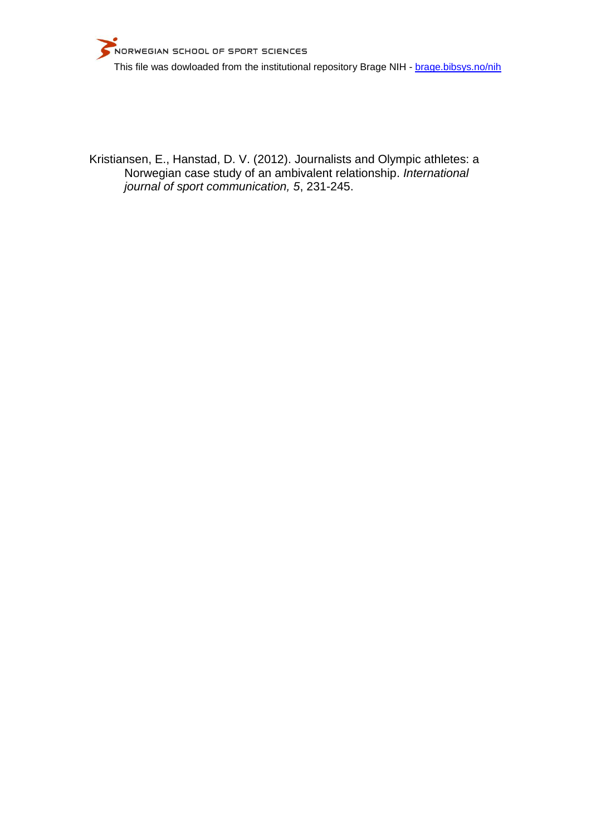Kristiansen, E., Hanstad, D. V. (2012). Journalists and Olympic athletes: a Norwegian case study of an ambivalent relationship. *International journal of sport communication, 5*, 231-245.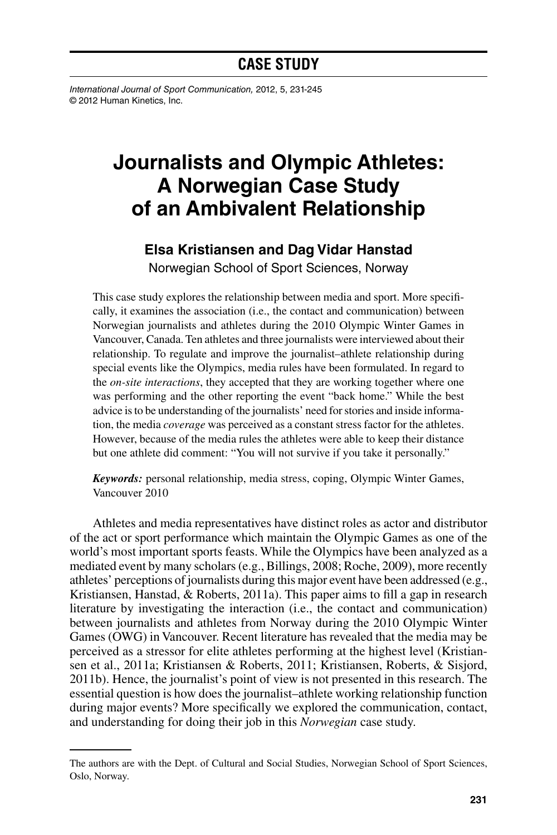# **CASE STUDY**

*International Journal of Sport Communication,* 2012, 5, 231-245 © 2012 Human Kinetics, Inc.

# **Journalists and Olympic Athletes: A Norwegian Case Study of an Ambivalent Relationship**

## **Elsa Kristiansen and Dag Vidar Hanstad**

Norwegian School of Sport Sciences, Norway

This case study explores the relationship between media and sport. More specifically, it examines the association (i.e., the contact and communication) between Norwegian journalists and athletes during the 2010 Olympic Winter Games in Vancouver, Canada. Ten athletes and three journalists were interviewed about their relationship. To regulate and improve the journalist–athlete relationship during special events like the Olympics, media rules have been formulated. In regard to the *on-site interactions*, they accepted that they are working together where one was performing and the other reporting the event "back home." While the best advice is to be understanding of the journalists' need for stories and inside information, the media *coverage* was perceived as a constant stress factor for the athletes. However, because of the media rules the athletes were able to keep their distance but one athlete did comment: "You will not survive if you take it personally."

*Keywords:* personal relationship, media stress, coping, Olympic Winter Games, Vancouver 2010

Athletes and media representatives have distinct roles as actor and distributor of the act or sport performance which maintain the Olympic Games as one of the world's most important sports feasts. While the Olympics have been analyzed as a mediated event by many scholars (e.g., Billings, 2008; Roche, 2009), more recently athletes' perceptions of journalists during this major event have been addressed (e.g., Kristiansen, Hanstad, & Roberts, 2011a). This paper aims to fill a gap in research literature by investigating the interaction (i.e., the contact and communication) between journalists and athletes from Norway during the 2010 Olympic Winter Games (OWG) in Vancouver. Recent literature has revealed that the media may be perceived as a stressor for elite athletes performing at the highest level (Kristiansen et al., 2011a; Kristiansen & Roberts, 2011; Kristiansen, Roberts, & Sisjord, 2011b). Hence, the journalist's point of view is not presented in this research. The essential question is how does the journalist–athlete working relationship function during major events? More specifically we explored the communication, contact, and understanding for doing their job in this *Norwegian* case study.

The authors are with the Dept. of Cultural and Social Studies, Norwegian School of Sport Sciences, Oslo, Norway.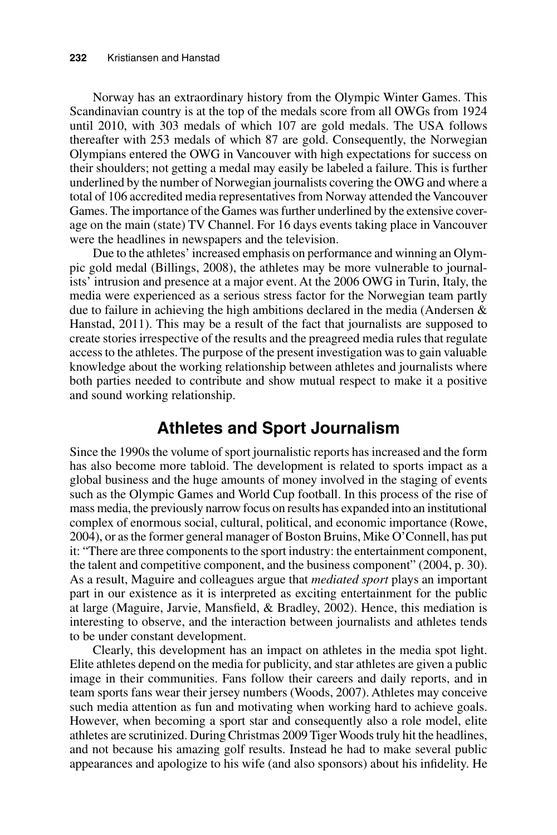Norway has an extraordinary history from the Olympic Winter Games. This Scandinavian country is at the top of the medals score from all OWGs from 1924 until 2010, with 303 medals of which 107 are gold medals. The USA follows thereafter with 253 medals of which 87 are gold. Consequently, the Norwegian Olympians entered the OWG in Vancouver with high expectations for success on their shoulders; not getting a medal may easily be labeled a failure. This is further underlined by the number of Norwegian journalists covering the OWG and where a total of 106 accredited media representatives from Norway attended the Vancouver Games. The importance of the Games was further underlined by the extensive coverage on the main (state) TV Channel. For 16 days events taking place in Vancouver were the headlines in newspapers and the television.

Due to the athletes' increased emphasis on performance and winning an Olympic gold medal (Billings, 2008), the athletes may be more vulnerable to journalists' intrusion and presence at a major event. At the 2006 OWG in Turin, Italy, the media were experienced as a serious stress factor for the Norwegian team partly due to failure in achieving the high ambitions declared in the media (Andersen & Hanstad, 2011). This may be a result of the fact that journalists are supposed to create stories irrespective of the results and the preagreed media rules that regulate access to the athletes. The purpose of the present investigation was to gain valuable knowledge about the working relationship between athletes and journalists where both parties needed to contribute and show mutual respect to make it a positive and sound working relationship.

## **Athletes and Sport Journalism**

Since the 1990s the volume of sport journalistic reports has increased and the form has also become more tabloid. The development is related to sports impact as a global business and the huge amounts of money involved in the staging of events such as the Olympic Games and World Cup football. In this process of the rise of mass media, the previously narrow focus on results has expanded into an institutional complex of enormous social, cultural, political, and economic importance (Rowe, 2004), or as the former general manager of Boston Bruins, Mike O'Connell, has put it: "There are three components to the sport industry: the entertainment component, the talent and competitive component, and the business component" (2004, p. 30). As a result, Maguire and colleagues argue that *mediated sport* plays an important part in our existence as it is interpreted as exciting entertainment for the public at large (Maguire, Jarvie, Mansfield, & Bradley, 2002). Hence, this mediation is interesting to observe, and the interaction between journalists and athletes tends to be under constant development.

Clearly, this development has an impact on athletes in the media spot light. Elite athletes depend on the media for publicity, and star athletes are given a public image in their communities. Fans follow their careers and daily reports, and in team sports fans wear their jersey numbers (Woods, 2007). Athletes may conceive such media attention as fun and motivating when working hard to achieve goals. However, when becoming a sport star and consequently also a role model, elite athletes are scrutinized. During Christmas 2009 Tiger Woods truly hit the headlines, and not because his amazing golf results. Instead he had to make several public appearances and apologize to his wife (and also sponsors) about his infidelity. He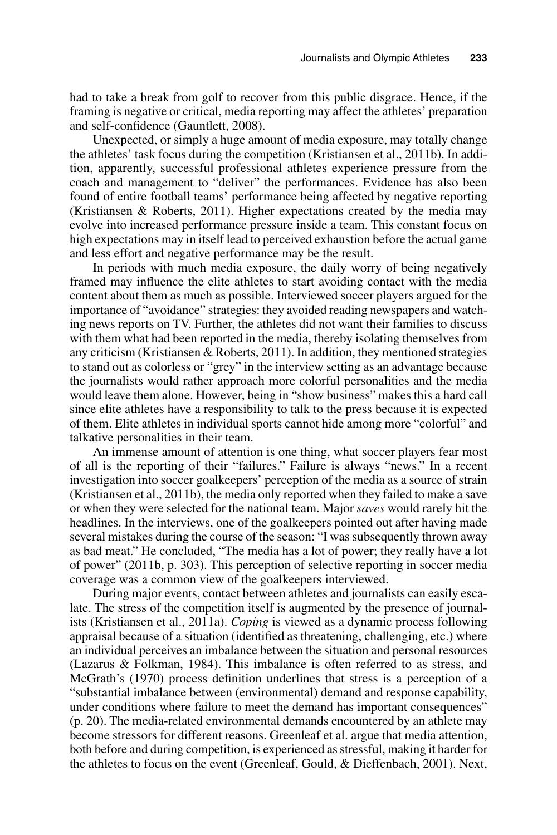had to take a break from golf to recover from this public disgrace. Hence, if the framing is negative or critical, media reporting may affect the athletes' preparation and self-confidence (Gauntlett, 2008).

Unexpected, or simply a huge amount of media exposure, may totally change the athletes' task focus during the competition (Kristiansen et al., 2011b). In addition, apparently, successful professional athletes experience pressure from the coach and management to "deliver" the performances. Evidence has also been found of entire football teams' performance being affected by negative reporting (Kristiansen & Roberts, 2011). Higher expectations created by the media may evolve into increased performance pressure inside a team. This constant focus on high expectations may in itself lead to perceived exhaustion before the actual game and less effort and negative performance may be the result.

In periods with much media exposure, the daily worry of being negatively framed may influence the elite athletes to start avoiding contact with the media content about them as much as possible. Interviewed soccer players argued for the importance of "avoidance" strategies: they avoided reading newspapers and watching news reports on TV. Further, the athletes did not want their families to discuss with them what had been reported in the media, thereby isolating themselves from any criticism (Kristiansen & Roberts, 2011). In addition, they mentioned strategies to stand out as colorless or "grey" in the interview setting as an advantage because the journalists would rather approach more colorful personalities and the media would leave them alone. However, being in "show business" makes this a hard call since elite athletes have a responsibility to talk to the press because it is expected of them. Elite athletes in individual sports cannot hide among more "colorful" and talkative personalities in their team.

An immense amount of attention is one thing, what soccer players fear most of all is the reporting of their "failures." Failure is always "news." In a recent investigation into soccer goalkeepers' perception of the media as a source of strain (Kristiansen et al., 2011b), the media only reported when they failed to make a save or when they were selected for the national team. Major *saves* would rarely hit the headlines. In the interviews, one of the goalkeepers pointed out after having made several mistakes during the course of the season: "I was subsequently thrown away as bad meat." He concluded, "The media has a lot of power; they really have a lot of power" (2011b, p. 303). This perception of selective reporting in soccer media coverage was a common view of the goalkeepers interviewed.

During major events, contact between athletes and journalists can easily escalate. The stress of the competition itself is augmented by the presence of journalists (Kristiansen et al., 2011a). *Coping* is viewed as a dynamic process following appraisal because of a situation (identified as threatening, challenging, etc.) where an individual perceives an imbalance between the situation and personal resources (Lazarus & Folkman, 1984). This imbalance is often referred to as stress, and McGrath's (1970) process definition underlines that stress is a perception of a "substantial imbalance between (environmental) demand and response capability, under conditions where failure to meet the demand has important consequences" (p. 20). The media-related environmental demands encountered by an athlete may become stressors for different reasons. Greenleaf et al. argue that media attention, both before and during competition, is experienced as stressful, making it harder for the athletes to focus on the event (Greenleaf, Gould, & Dieffenbach, 2001). Next,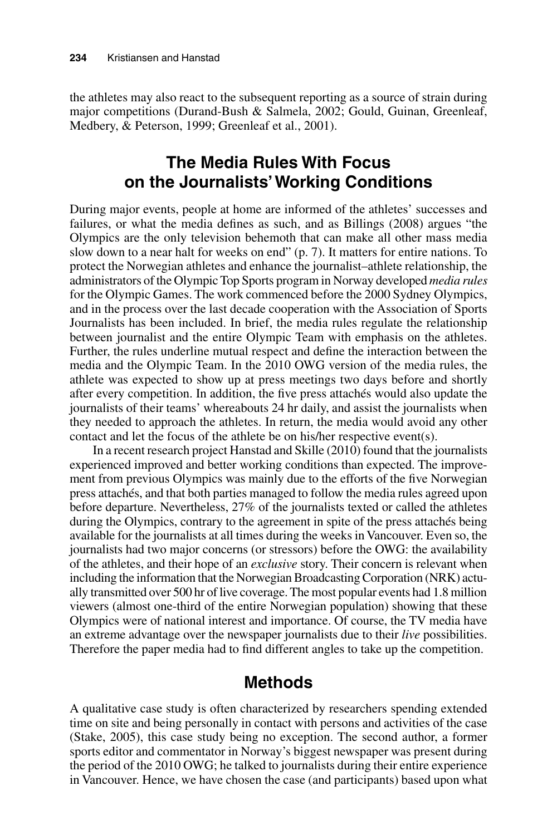the athletes may also react to the subsequent reporting as a source of strain during major competitions (Durand-Bush & Salmela, 2002; Gould, Guinan, Greenleaf, Medbery, & Peterson, 1999; Greenleaf et al., 2001).

## **The Media Rules With Focus on the Journalists' Working Conditions**

During major events, people at home are informed of the athletes' successes and failures, or what the media defines as such, and as Billings (2008) argues "the Olympics are the only television behemoth that can make all other mass media slow down to a near halt for weeks on end" (p. 7). It matters for entire nations. To protect the Norwegian athletes and enhance the journalist–athlete relationship, the administrators of the Olympic Top Sports program in Norway developed *media rules* for the Olympic Games. The work commenced before the 2000 Sydney Olympics, and in the process over the last decade cooperation with the Association of Sports Journalists has been included. In brief, the media rules regulate the relationship between journalist and the entire Olympic Team with emphasis on the athletes. Further, the rules underline mutual respect and define the interaction between the media and the Olympic Team. In the 2010 OWG version of the media rules, the athlete was expected to show up at press meetings two days before and shortly after every competition. In addition, the five press attachés would also update the journalists of their teams' whereabouts 24 hr daily, and assist the journalists when they needed to approach the athletes. In return, the media would avoid any other contact and let the focus of the athlete be on his/her respective event(s).

In a recent research project Hanstad and Skille (2010) found that the journalists experienced improved and better working conditions than expected. The improvement from previous Olympics was mainly due to the efforts of the five Norwegian press attachés, and that both parties managed to follow the media rules agreed upon before departure. Nevertheless, 27% of the journalists texted or called the athletes during the Olympics, contrary to the agreement in spite of the press attachés being available for the journalists at all times during the weeks in Vancouver. Even so, the journalists had two major concerns (or stressors) before the OWG: the availability of the athletes, and their hope of an *exclusive* story. Their concern is relevant when including the information that the Norwegian Broadcasting Corporation (NRK) actually transmitted over 500 hr of live coverage. The most popular events had 1.8 million viewers (almost one-third of the entire Norwegian population) showing that these Olympics were of national interest and importance. Of course, the TV media have an extreme advantage over the newspaper journalists due to their *live* possibilities. Therefore the paper media had to find different angles to take up the competition.

## **Methods**

A qualitative case study is often characterized by researchers spending extended time on site and being personally in contact with persons and activities of the case (Stake, 2005), this case study being no exception. The second author, a former sports editor and commentator in Norway's biggest newspaper was present during the period of the 2010 OWG; he talked to journalists during their entire experience in Vancouver. Hence, we have chosen the case (and participants) based upon what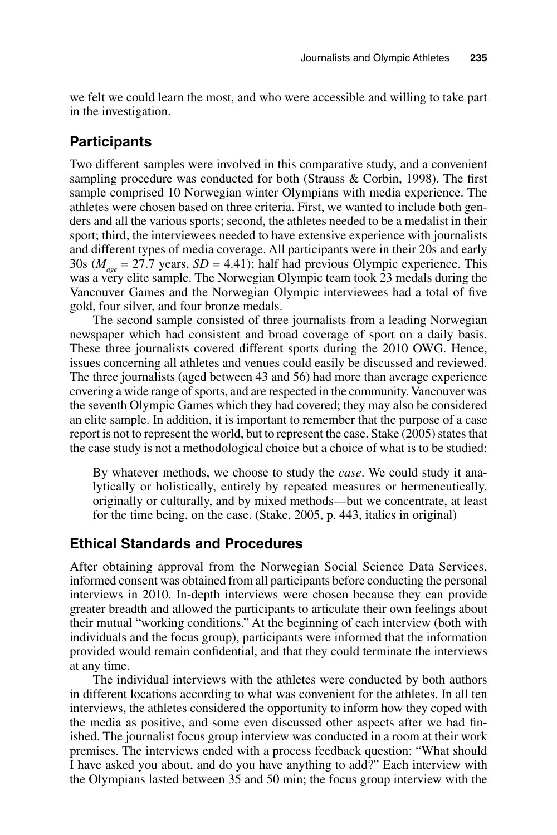we felt we could learn the most, and who were accessible and willing to take part in the investigation.

#### **Participants**

Two different samples were involved in this comparative study, and a convenient sampling procedure was conducted for both (Strauss & Corbin, 1998). The first sample comprised 10 Norwegian winter Olympians with media experience. The athletes were chosen based on three criteria. First, we wanted to include both genders and all the various sports; second, the athletes needed to be a medalist in their sport; third, the interviewees needed to have extensive experience with journalists and different types of media coverage. All participants were in their 20s and early 30s ( $M_{\text{gas}}$  = 27.7 years, *SD* = 4.41); half had previous Olympic experience. This was a very elite sample. The Norwegian Olympic team took 23 medals during the Vancouver Games and the Norwegian Olympic interviewees had a total of five gold, four silver, and four bronze medals.

The second sample consisted of three journalists from a leading Norwegian newspaper which had consistent and broad coverage of sport on a daily basis. These three journalists covered different sports during the 2010 OWG. Hence, issues concerning all athletes and venues could easily be discussed and reviewed. The three journalists (aged between 43 and 56) had more than average experience covering a wide range of sports, and are respected in the community. Vancouver was the seventh Olympic Games which they had covered; they may also be considered an elite sample. In addition, it is important to remember that the purpose of a case report is not to represent the world, but to represent the case. Stake (2005) states that the case study is not a methodological choice but a choice of what is to be studied:

By whatever methods, we choose to study the *case*. We could study it analytically or holistically, entirely by repeated measures or hermeneutically, originally or culturally, and by mixed methods—but we concentrate, at least for the time being, on the case. (Stake, 2005, p. 443, italics in original)

#### **Ethical Standards and Procedures**

After obtaining approval from the Norwegian Social Science Data Services, informed consent was obtained from all participants before conducting the personal interviews in 2010. In-depth interviews were chosen because they can provide greater breadth and allowed the participants to articulate their own feelings about their mutual "working conditions." At the beginning of each interview (both with individuals and the focus group), participants were informed that the information provided would remain confidential, and that they could terminate the interviews at any time.

The individual interviews with the athletes were conducted by both authors in different locations according to what was convenient for the athletes. In all ten interviews, the athletes considered the opportunity to inform how they coped with the media as positive, and some even discussed other aspects after we had finished. The journalist focus group interview was conducted in a room at their work premises. The interviews ended with a process feedback question: "What should I have asked you about, and do you have anything to add?" Each interview with the Olympians lasted between 35 and 50 min; the focus group interview with the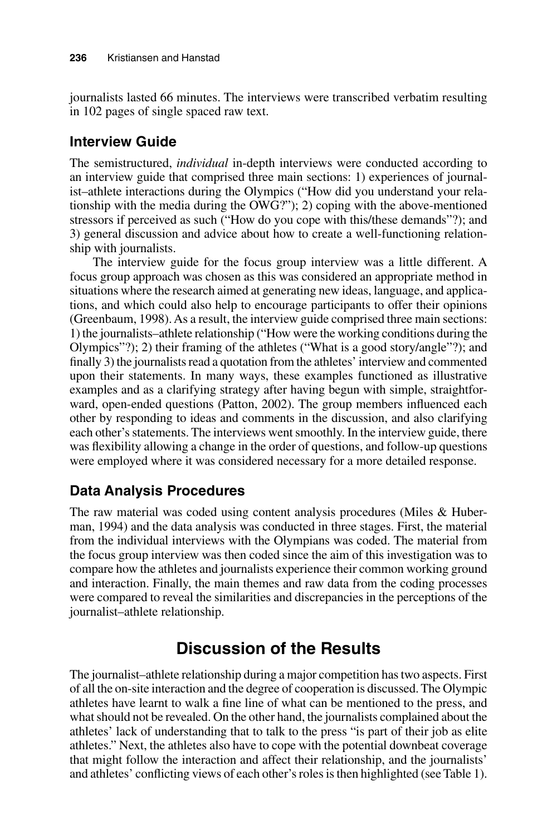journalists lasted 66 minutes. The interviews were transcribed verbatim resulting in 102 pages of single spaced raw text.

## **Interview Guide**

The semistructured, *individual* in-depth interviews were conducted according to an interview guide that comprised three main sections: 1) experiences of journalist–athlete interactions during the Olympics ("How did you understand your relationship with the media during the OWG?"); 2) coping with the above-mentioned stressors if perceived as such ("How do you cope with this/these demands"?); and 3) general discussion and advice about how to create a well-functioning relationship with journalists.

The interview guide for the focus group interview was a little different. A focus group approach was chosen as this was considered an appropriate method in situations where the research aimed at generating new ideas, language, and applications, and which could also help to encourage participants to offer their opinions (Greenbaum, 1998). As a result, the interview guide comprised three main sections: 1) the journalists–athlete relationship ("How were the working conditions during the Olympics"?); 2) their framing of the athletes ("What is a good story/angle"?); and finally 3) the journalists read a quotation from the athletes' interview and commented upon their statements. In many ways, these examples functioned as illustrative examples and as a clarifying strategy after having begun with simple, straightforward, open-ended questions (Patton, 2002). The group members influenced each other by responding to ideas and comments in the discussion, and also clarifying each other's statements. The interviews went smoothly. In the interview guide, there was flexibility allowing a change in the order of questions, and follow-up questions were employed where it was considered necessary for a more detailed response.

## **Data Analysis Procedures**

The raw material was coded using content analysis procedures (Miles & Huberman, 1994) and the data analysis was conducted in three stages. First, the material from the individual interviews with the Olympians was coded. The material from the focus group interview was then coded since the aim of this investigation was to compare how the athletes and journalists experience their common working ground and interaction. Finally, the main themes and raw data from the coding processes were compared to reveal the similarities and discrepancies in the perceptions of the journalist–athlete relationship.

# **Discussion of the Results**

The journalist–athlete relationship during a major competition has two aspects. First of all the on-site interaction and the degree of cooperation is discussed. The Olympic athletes have learnt to walk a fine line of what can be mentioned to the press, and what should not be revealed. On the other hand, the journalists complained about the athletes' lack of understanding that to talk to the press "is part of their job as elite athletes." Next, the athletes also have to cope with the potential downbeat coverage that might follow the interaction and affect their relationship, and the journalists' and athletes' conflicting views of each other's roles is then highlighted (see Table 1).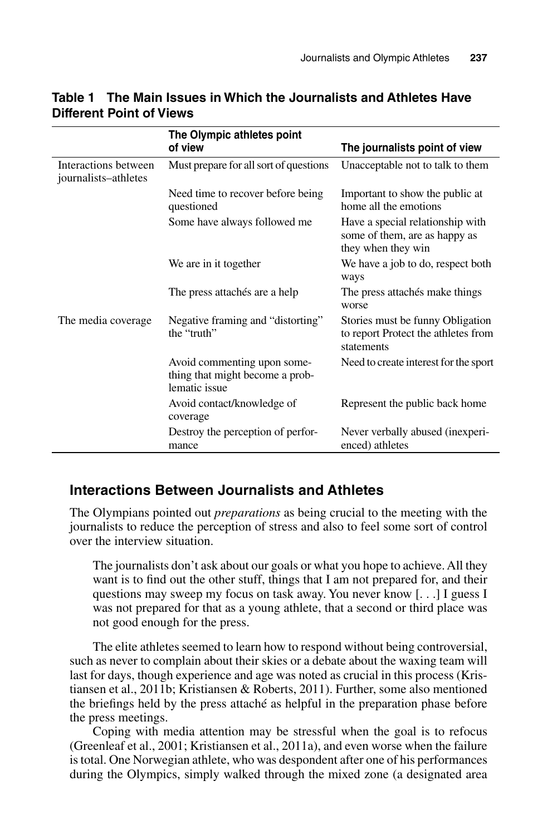|                                              | The Olympic athletes point<br>of view                                           | The journalists point of view                                                           |
|----------------------------------------------|---------------------------------------------------------------------------------|-----------------------------------------------------------------------------------------|
| Interactions between<br>journalists-athletes | Must prepare for all sort of questions                                          | Unacceptable not to talk to them                                                        |
|                                              | Need time to recover before being<br>questioned                                 | Important to show the public at<br>home all the emotions                                |
|                                              | Some have always followed me                                                    | Have a special relationship with<br>some of them, are as happy as<br>they when they win |
|                                              | We are in it together                                                           | We have a job to do, respect both<br>ways                                               |
|                                              | The press attachés are a help                                                   | The press attachés make things<br>worse                                                 |
| The media coverage.                          | Negative framing and "distorting"<br>the "truth"                                | Stories must be funny Obligation<br>to report Protect the athletes from<br>statements   |
|                                              | Avoid commenting upon some-<br>thing that might become a prob-<br>lematic issue | Need to create interest for the sport                                                   |
|                                              | Avoid contact/knowledge of<br>coverage                                          | Represent the public back home                                                          |
|                                              | Destroy the perception of perfor-<br>mance                                      | Never verbally abused (in experi-<br>enced) athletes                                    |

#### **Table 1 The Main Issues in Which the Journalists and Athletes Have Different Point of Views**

## **Interactions Between Journalists and Athletes**

The Olympians pointed out *preparations* as being crucial to the meeting with the journalists to reduce the perception of stress and also to feel some sort of control over the interview situation.

The journalists don't ask about our goals or what you hope to achieve. All they want is to find out the other stuff, things that I am not prepared for, and their questions may sweep my focus on task away. You never know [. . .] I guess I was not prepared for that as a young athlete, that a second or third place was not good enough for the press.

The elite athletes seemed to learn how to respond without being controversial, such as never to complain about their skies or a debate about the waxing team will last for days, though experience and age was noted as crucial in this process (Kristiansen et al., 2011b; Kristiansen & Roberts, 2011). Further, some also mentioned the briefings held by the press attaché as helpful in the preparation phase before the press meetings.

Coping with media attention may be stressful when the goal is to refocus (Greenleaf et al., 2001; Kristiansen et al., 2011a), and even worse when the failure is total. One Norwegian athlete, who was despondent after one of his performances during the Olympics, simply walked through the mixed zone (a designated area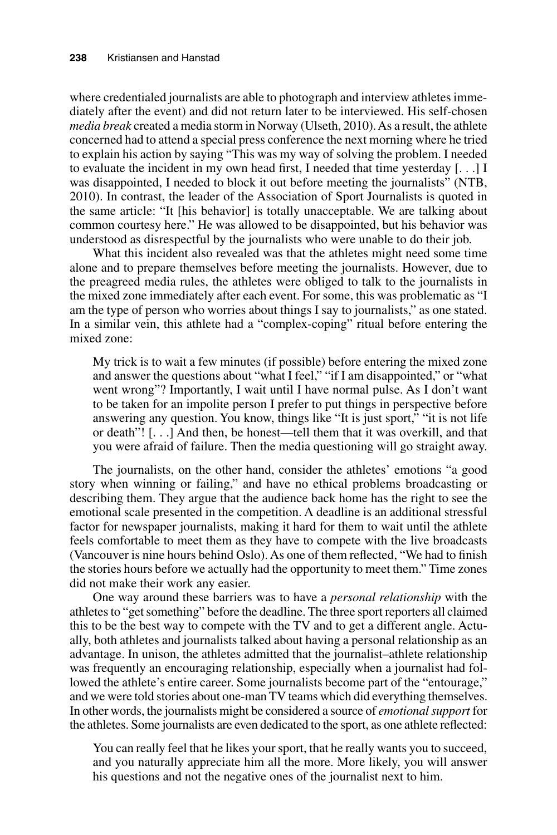where credentialed journalists are able to photograph and interview athletes immediately after the event) and did not return later to be interviewed. His self-chosen *media break* created a media storm in Norway (Ulseth, 2010). As a result, the athlete concerned had to attend a special press conference the next morning where he tried to explain his action by saying "This was my way of solving the problem. I needed to evaluate the incident in my own head first, I needed that time yesterday [. . .] I was disappointed, I needed to block it out before meeting the journalists" (NTB, 2010). In contrast, the leader of the Association of Sport Journalists is quoted in the same article: "It [his behavior] is totally unacceptable. We are talking about common courtesy here." He was allowed to be disappointed, but his behavior was understood as disrespectful by the journalists who were unable to do their job.

What this incident also revealed was that the athletes might need some time alone and to prepare themselves before meeting the journalists. However, due to the preagreed media rules, the athletes were obliged to talk to the journalists in the mixed zone immediately after each event. For some, this was problematic as "I am the type of person who worries about things I say to journalists," as one stated. In a similar vein, this athlete had a "complex-coping" ritual before entering the mixed zone:

My trick is to wait a few minutes (if possible) before entering the mixed zone and answer the questions about "what I feel," "if I am disappointed," or "what went wrong"? Importantly, I wait until I have normal pulse. As I don't want to be taken for an impolite person I prefer to put things in perspective before answering any question. You know, things like "It is just sport," "it is not life or death"! [. . .] And then, be honest—tell them that it was overkill, and that you were afraid of failure. Then the media questioning will go straight away.

The journalists, on the other hand, consider the athletes' emotions "a good story when winning or failing," and have no ethical problems broadcasting or describing them. They argue that the audience back home has the right to see the emotional scale presented in the competition. A deadline is an additional stressful factor for newspaper journalists, making it hard for them to wait until the athlete feels comfortable to meet them as they have to compete with the live broadcasts (Vancouver is nine hours behind Oslo). As one of them reflected, "We had to finish the stories hours before we actually had the opportunity to meet them." Time zones did not make their work any easier.

One way around these barriers was to have a *personal relationship* with the athletes to "get something" before the deadline. The three sport reporters all claimed this to be the best way to compete with the TV and to get a different angle. Actually, both athletes and journalists talked about having a personal relationship as an advantage. In unison, the athletes admitted that the journalist–athlete relationship was frequently an encouraging relationship, especially when a journalist had followed the athlete's entire career. Some journalists become part of the "entourage," and we were told stories about one-man TV teams which did everything themselves. In other words, the journalists might be considered a source of *emotional support* for the athletes. Some journalists are even dedicated to the sport, as one athlete reflected:

You can really feel that he likes your sport, that he really wants you to succeed, and you naturally appreciate him all the more. More likely, you will answer his questions and not the negative ones of the journalist next to him.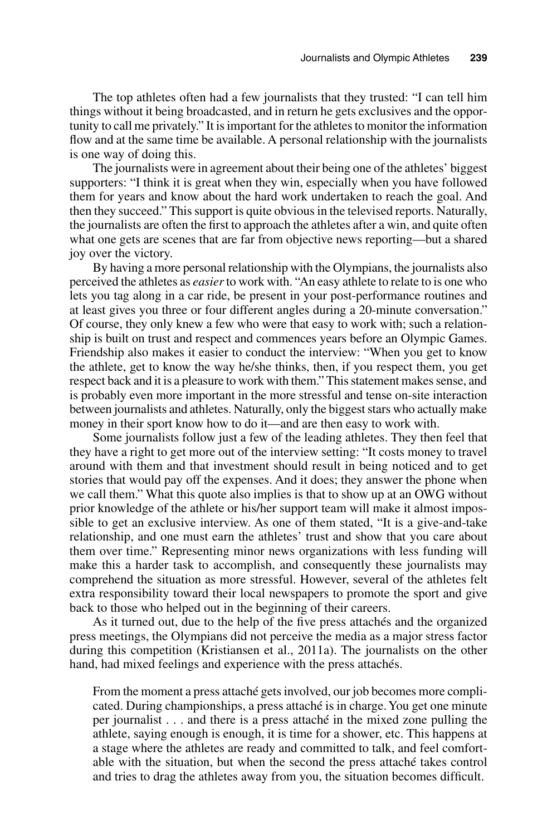The top athletes often had a few journalists that they trusted: "I can tell him things without it being broadcasted, and in return he gets exclusives and the opportunity to call me privately." It is important for the athletes to monitor the information flow and at the same time be available. A personal relationship with the journalists is one way of doing this.

The journalists were in agreement about their being one of the athletes' biggest supporters: "I think it is great when they win, especially when you have followed them for years and know about the hard work undertaken to reach the goal. And then they succeed." This support is quite obvious in the televised reports. Naturally, the journalists are often the first to approach the athletes after a win, and quite often what one gets are scenes that are far from objective news reporting—but a shared joy over the victory.

By having a more personal relationship with the Olympians, the journalists also perceived the athletes as *easier* to work with. "An easy athlete to relate to is one who lets you tag along in a car ride, be present in your post-performance routines and at least gives you three or four different angles during a 20-minute conversation." Of course, they only knew a few who were that easy to work with; such a relationship is built on trust and respect and commences years before an Olympic Games. Friendship also makes it easier to conduct the interview: "When you get to know the athlete, get to know the way he/she thinks, then, if you respect them, you get respect back and it is a pleasure to work with them." This statement makes sense, and is probably even more important in the more stressful and tense on-site interaction between journalists and athletes. Naturally, only the biggest stars who actually make money in their sport know how to do it—and are then easy to work with.

Some journalists follow just a few of the leading athletes. They then feel that they have a right to get more out of the interview setting: "It costs money to travel around with them and that investment should result in being noticed and to get stories that would pay off the expenses. And it does; they answer the phone when we call them." What this quote also implies is that to show up at an OWG without prior knowledge of the athlete or his/her support team will make it almost impossible to get an exclusive interview. As one of them stated, "It is a give-and-take relationship, and one must earn the athletes' trust and show that you care about them over time." Representing minor news organizations with less funding will make this a harder task to accomplish, and consequently these journalists may comprehend the situation as more stressful. However, several of the athletes felt extra responsibility toward their local newspapers to promote the sport and give back to those who helped out in the beginning of their careers.

As it turned out, due to the help of the five press attachés and the organized press meetings, the Olympians did not perceive the media as a major stress factor during this competition (Kristiansen et al., 2011a). The journalists on the other hand, had mixed feelings and experience with the press attachés.

From the moment a press attaché gets involved, our job becomes more complicated. During championships, a press attaché is in charge. You get one minute per journalist . . . and there is a press attaché in the mixed zone pulling the athlete, saying enough is enough, it is time for a shower, etc. This happens at a stage where the athletes are ready and committed to talk, and feel comfortable with the situation, but when the second the press attaché takes control and tries to drag the athletes away from you, the situation becomes difficult.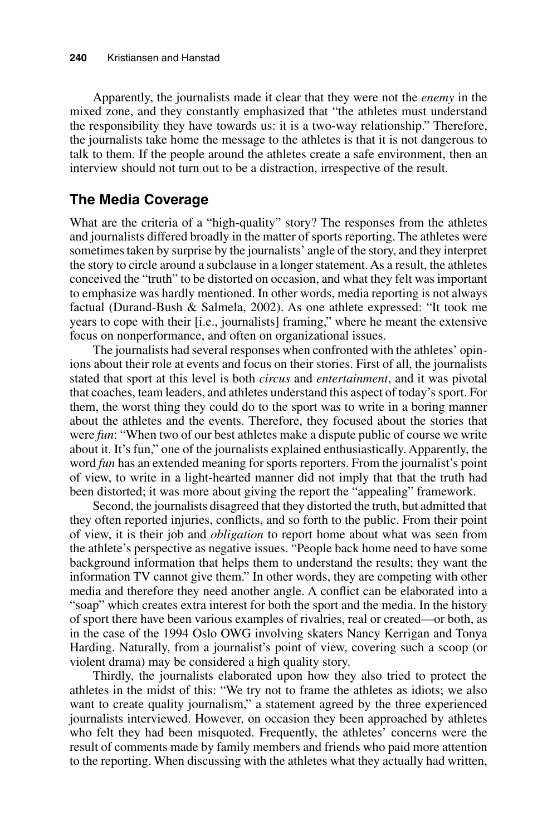Apparently, the journalists made it clear that they were not the *enemy* in the mixed zone, and they constantly emphasized that "the athletes must understand the responsibility they have towards us: it is a two-way relationship." Therefore, the journalists take home the message to the athletes is that it is not dangerous to talk to them. If the people around the athletes create a safe environment, then an interview should not turn out to be a distraction, irrespective of the result.

#### **The Media Coverage**

What are the criteria of a "high-quality" story? The responses from the athletes and journalists differed broadly in the matter of sports reporting. The athletes were sometimes taken by surprise by the journalists' angle of the story, and they interpret the story to circle around a subclause in a longer statement. As a result, the athletes conceived the "truth" to be distorted on occasion, and what they felt was important to emphasize was hardly mentioned. In other words, media reporting is not always factual (Durand-Bush & Salmela, 2002). As one athlete expressed: "It took me years to cope with their [i.e., journalists] framing," where he meant the extensive focus on nonperformance, and often on organizational issues.

The journalists had several responses when confronted with the athletes' opinions about their role at events and focus on their stories. First of all, the journalists stated that sport at this level is both *circus* and *entertainment*, and it was pivotal that coaches, team leaders, and athletes understand this aspect of today's sport. For them, the worst thing they could do to the sport was to write in a boring manner about the athletes and the events. Therefore, they focused about the stories that were *fun*: "When two of our best athletes make a dispute public of course we write about it. It's fun," one of the journalists explained enthusiastically. Apparently, the word *fun* has an extended meaning for sports reporters. From the journalist's point of view, to write in a light-hearted manner did not imply that that the truth had been distorted; it was more about giving the report the "appealing" framework.

Second, the journalists disagreed that they distorted the truth, but admitted that they often reported injuries, conflicts, and so forth to the public. From their point of view, it is their job and *obligation* to report home about what was seen from the athlete's perspective as negative issues. "People back home need to have some background information that helps them to understand the results; they want the information TV cannot give them." In other words, they are competing with other media and therefore they need another angle. A conflict can be elaborated into a "soap" which creates extra interest for both the sport and the media. In the history of sport there have been various examples of rivalries, real or created—or both, as in the case of the 1994 Oslo OWG involving skaters Nancy Kerrigan and Tonya Harding. Naturally, from a journalist's point of view, covering such a scoop (or violent drama) may be considered a high quality story.

Thirdly, the journalists elaborated upon how they also tried to protect the athletes in the midst of this: "We try not to frame the athletes as idiots; we also want to create quality journalism," a statement agreed by the three experienced journalists interviewed. However, on occasion they been approached by athletes who felt they had been misquoted. Frequently, the athletes' concerns were the result of comments made by family members and friends who paid more attention to the reporting. When discussing with the athletes what they actually had written,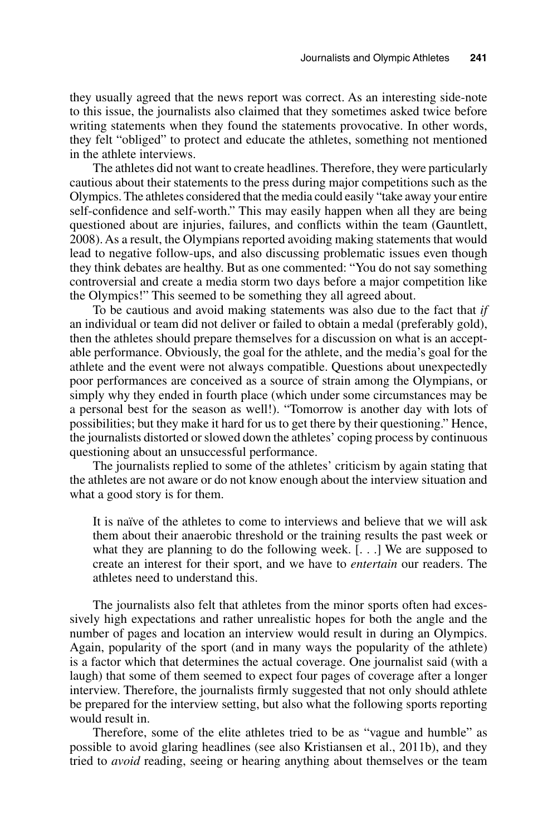they usually agreed that the news report was correct. As an interesting side-note to this issue, the journalists also claimed that they sometimes asked twice before writing statements when they found the statements provocative. In other words, they felt "obliged" to protect and educate the athletes, something not mentioned in the athlete interviews.

The athletes did not want to create headlines. Therefore, they were particularly cautious about their statements to the press during major competitions such as the Olympics. The athletes considered that the media could easily "take away your entire self-confidence and self-worth." This may easily happen when all they are being questioned about are injuries, failures, and conflicts within the team (Gauntlett, 2008). As a result, the Olympians reported avoiding making statements that would lead to negative follow-ups, and also discussing problematic issues even though they think debates are healthy. But as one commented: "You do not say something controversial and create a media storm two days before a major competition like the Olympics!" This seemed to be something they all agreed about.

To be cautious and avoid making statements was also due to the fact that *if* an individual or team did not deliver or failed to obtain a medal (preferably gold), then the athletes should prepare themselves for a discussion on what is an acceptable performance. Obviously, the goal for the athlete, and the media's goal for the athlete and the event were not always compatible. Questions about unexpectedly poor performances are conceived as a source of strain among the Olympians, or simply why they ended in fourth place (which under some circumstances may be a personal best for the season as well!). "Tomorrow is another day with lots of possibilities; but they make it hard for us to get there by their questioning." Hence, the journalists distorted or slowed down the athletes' coping process by continuous questioning about an unsuccessful performance.

The journalists replied to some of the athletes' criticism by again stating that the athletes are not aware or do not know enough about the interview situation and what a good story is for them.

It is naïve of the athletes to come to interviews and believe that we will ask them about their anaerobic threshold or the training results the past week or what they are planning to do the following week. [...] We are supposed to create an interest for their sport, and we have to *entertain* our readers. The athletes need to understand this.

The journalists also felt that athletes from the minor sports often had excessively high expectations and rather unrealistic hopes for both the angle and the number of pages and location an interview would result in during an Olympics. Again, popularity of the sport (and in many ways the popularity of the athlete) is a factor which that determines the actual coverage. One journalist said (with a laugh) that some of them seemed to expect four pages of coverage after a longer interview. Therefore, the journalists firmly suggested that not only should athlete be prepared for the interview setting, but also what the following sports reporting would result in.

Therefore, some of the elite athletes tried to be as "vague and humble" as possible to avoid glaring headlines (see also Kristiansen et al., 2011b), and they tried to *avoid* reading, seeing or hearing anything about themselves or the team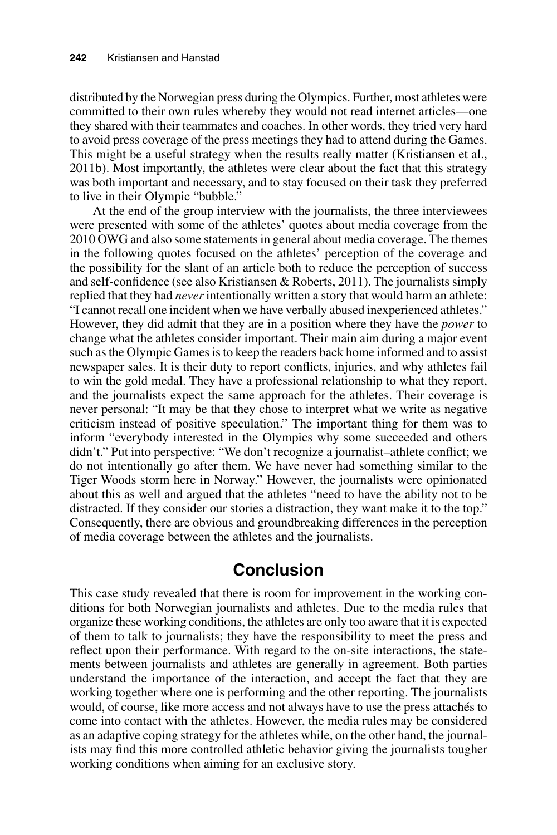distributed by the Norwegian press during the Olympics. Further, most athletes were committed to their own rules whereby they would not read internet articles—one they shared with their teammates and coaches. In other words, they tried very hard to avoid press coverage of the press meetings they had to attend during the Games. This might be a useful strategy when the results really matter (Kristiansen et al., 2011b). Most importantly, the athletes were clear about the fact that this strategy was both important and necessary, and to stay focused on their task they preferred to live in their Olympic "bubble."

At the end of the group interview with the journalists, the three interviewees were presented with some of the athletes' quotes about media coverage from the 2010 OWG and also some statements in general about media coverage. The themes in the following quotes focused on the athletes' perception of the coverage and the possibility for the slant of an article both to reduce the perception of success and self-confidence (see also Kristiansen & Roberts, 2011). The journalists simply replied that they had *never* intentionally written a story that would harm an athlete: "I cannot recall one incident when we have verbally abused inexperienced athletes." However, they did admit that they are in a position where they have the *power* to change what the athletes consider important. Their main aim during a major event such as the Olympic Games is to keep the readers back home informed and to assist newspaper sales. It is their duty to report conflicts, injuries, and why athletes fail to win the gold medal. They have a professional relationship to what they report, and the journalists expect the same approach for the athletes. Their coverage is never personal: "It may be that they chose to interpret what we write as negative criticism instead of positive speculation." The important thing for them was to inform "everybody interested in the Olympics why some succeeded and others didn't." Put into perspective: "We don't recognize a journalist–athlete conflict; we do not intentionally go after them. We have never had something similar to the Tiger Woods storm here in Norway." However, the journalists were opinionated about this as well and argued that the athletes "need to have the ability not to be distracted. If they consider our stories a distraction, they want make it to the top." Consequently, there are obvious and groundbreaking differences in the perception of media coverage between the athletes and the journalists.

## **Conclusion**

This case study revealed that there is room for improvement in the working conditions for both Norwegian journalists and athletes. Due to the media rules that organize these working conditions, the athletes are only too aware that it is expected of them to talk to journalists; they have the responsibility to meet the press and reflect upon their performance. With regard to the on-site interactions, the statements between journalists and athletes are generally in agreement. Both parties understand the importance of the interaction, and accept the fact that they are working together where one is performing and the other reporting. The journalists would, of course, like more access and not always have to use the press attachés to come into contact with the athletes. However, the media rules may be considered as an adaptive coping strategy for the athletes while, on the other hand, the journalists may find this more controlled athletic behavior giving the journalists tougher working conditions when aiming for an exclusive story.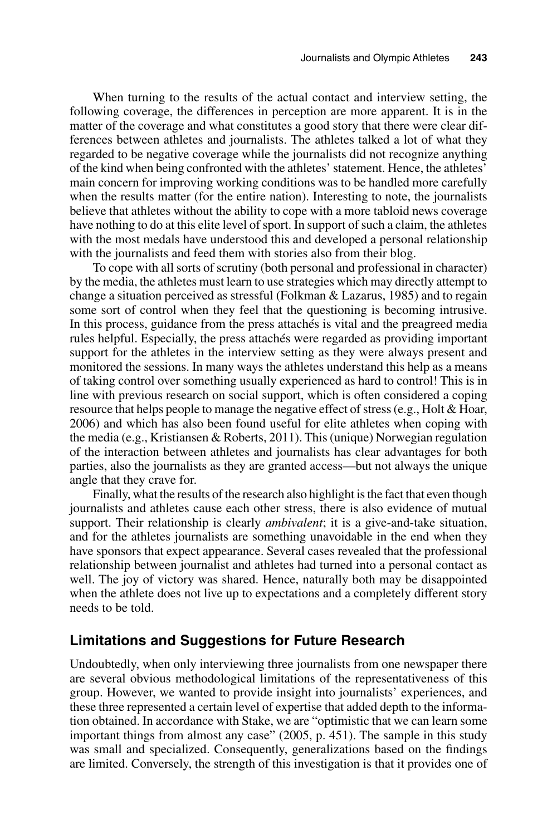When turning to the results of the actual contact and interview setting, the following coverage, the differences in perception are more apparent. It is in the matter of the coverage and what constitutes a good story that there were clear differences between athletes and journalists. The athletes talked a lot of what they regarded to be negative coverage while the journalists did not recognize anything of the kind when being confronted with the athletes' statement. Hence, the athletes' main concern for improving working conditions was to be handled more carefully when the results matter (for the entire nation). Interesting to note, the journalists believe that athletes without the ability to cope with a more tabloid news coverage have nothing to do at this elite level of sport. In support of such a claim, the athletes with the most medals have understood this and developed a personal relationship with the journalists and feed them with stories also from their blog.

To cope with all sorts of scrutiny (both personal and professional in character) by the media, the athletes must learn to use strategies which may directly attempt to change a situation perceived as stressful (Folkman & Lazarus, 1985) and to regain some sort of control when they feel that the questioning is becoming intrusive. In this process, guidance from the press attachés is vital and the preagreed media rules helpful. Especially, the press attachés were regarded as providing important support for the athletes in the interview setting as they were always present and monitored the sessions. In many ways the athletes understand this help as a means of taking control over something usually experienced as hard to control! This is in line with previous research on social support, which is often considered a coping resource that helps people to manage the negative effect of stress (e.g., Holt & Hoar, 2006) and which has also been found useful for elite athletes when coping with the media (e.g., Kristiansen & Roberts, 2011). This (unique) Norwegian regulation of the interaction between athletes and journalists has clear advantages for both parties, also the journalists as they are granted access—but not always the unique angle that they crave for.

Finally, what the results of the research also highlight is the fact that even though journalists and athletes cause each other stress, there is also evidence of mutual support. Their relationship is clearly *ambivalent*; it is a give-and-take situation, and for the athletes journalists are something unavoidable in the end when they have sponsors that expect appearance. Several cases revealed that the professional relationship between journalist and athletes had turned into a personal contact as well. The joy of victory was shared. Hence, naturally both may be disappointed when the athlete does not live up to expectations and a completely different story needs to be told.

## **Limitations and Suggestions for Future Research**

Undoubtedly, when only interviewing three journalists from one newspaper there are several obvious methodological limitations of the representativeness of this group. However, we wanted to provide insight into journalists' experiences, and these three represented a certain level of expertise that added depth to the information obtained. In accordance with Stake, we are "optimistic that we can learn some important things from almost any case" (2005, p. 451). The sample in this study was small and specialized. Consequently, generalizations based on the findings are limited. Conversely, the strength of this investigation is that it provides one of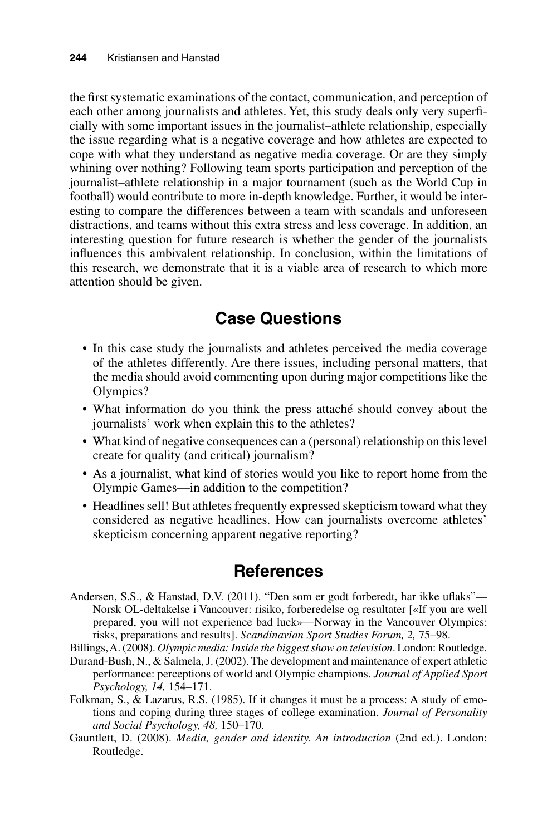the first systematic examinations of the contact, communication, and perception of each other among journalists and athletes. Yet, this study deals only very superficially with some important issues in the journalist–athlete relationship, especially the issue regarding what is a negative coverage and how athletes are expected to cope with what they understand as negative media coverage. Or are they simply whining over nothing? Following team sports participation and perception of the journalist–athlete relationship in a major tournament (such as the World Cup in football) would contribute to more in-depth knowledge. Further, it would be interesting to compare the differences between a team with scandals and unforeseen distractions, and teams without this extra stress and less coverage. In addition, an interesting question for future research is whether the gender of the journalists influences this ambivalent relationship. In conclusion, within the limitations of this research, we demonstrate that it is a viable area of research to which more attention should be given.

# **Case Questions**

- In this case study the journalists and athletes perceived the media coverage of the athletes differently. Are there issues, including personal matters, that the media should avoid commenting upon during major competitions like the Olympics?
- What information do you think the press attaché should convey about the journalists' work when explain this to the athletes?
- What kind of negative consequences can a (personal) relationship on this level create for quality (and critical) journalism?
- As a journalist, what kind of stories would you like to report home from the Olympic Games—in addition to the competition?
- Headlines sell! But athletes frequently expressed skepticism toward what they considered as negative headlines. How can journalists overcome athletes' skepticism concerning apparent negative reporting?

## **References**

- Andersen, S.S., & Hanstad, D.V. (2011). "Den som er godt forberedt, har ikke uflaks"— Norsk OL-deltakelse i Vancouver: risiko, forberedelse og resultater [«If you are well prepared, you will not experience bad luck»—Norway in the Vancouver Olympics: risks, preparations and results]. *Scandinavian Sport Studies Forum, 2,* 75–98.
- Billings, A. (2008). *Olympic media: Inside the biggest show on television*. London: Routledge.
- Durand-Bush, N., & Salmela, J. (2002). The development and maintenance of expert athletic performance: perceptions of world and Olympic champions. *Journal of Applied Sport Psychology, 14,* 154–171.
- Folkman, S., & Lazarus, R.S. (1985). If it changes it must be a process: A study of emotions and coping during three stages of college examination. *Journal of Personality and Social Psychology, 48,* 150–170.
- Gauntlett, D. (2008). *Media, gender and identity. An introduction* (2nd ed.). London: Routledge.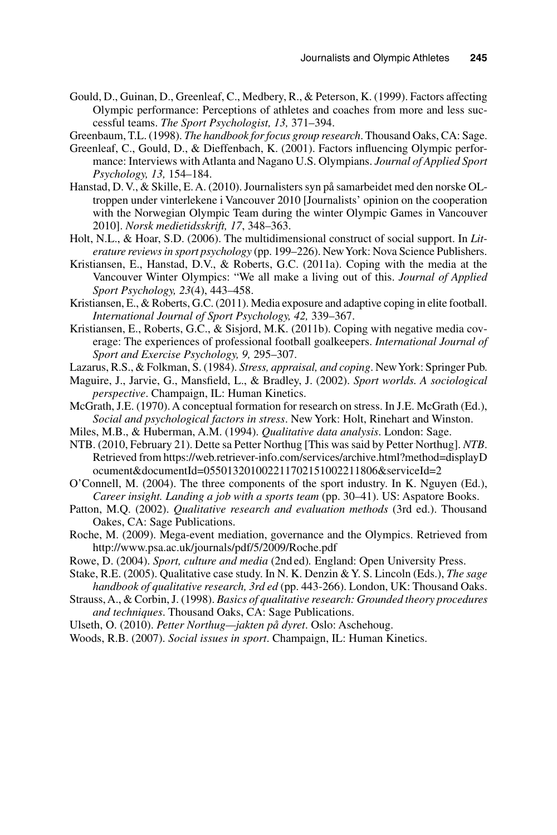Gould, D., Guinan, D., Greenleaf, C., Medbery, R., & Peterson, K. (1999). Factors affecting Olympic performance: Perceptions of athletes and coaches from more and less successful teams. *The Sport Psychologist, 13,* 371–394.

Greenbaum, T.L. (1998). *The handbook for focus group research*. Thousand Oaks, CA: Sage.

- Greenleaf, C., Gould, D., & Dieffenbach, K. (2001). Factors influencing Olympic performance: Interviews with Atlanta and Nagano U.S. Olympians. *Journal of Applied Sport Psychology, 13,* 154–184.
- Hanstad, D. V., & Skille, E. A. (2010). Journalisters syn på samarbeidet med den norske OLtroppen under vinterlekene i Vancouver 2010 [Journalists' opinion on the cooperation with the Norwegian Olympic Team during the winter Olympic Games in Vancouver 2010]. *Norsk medietidsskrift, 17*, 348–363.
- Holt, N.L., & Hoar, S.D. (2006). The multidimensional construct of social support. In *Literature reviews in sport psychology* (pp. 199–226). New York: Nova Science Publishers.
- Kristiansen, E., Hanstad, D.V., & Roberts, G.C. (2011a). Coping with the media at the Vancouver Winter Olympics: "We all make a living out of this. *Journal of Applied Sport Psychology, 23*(4), 443–458.
- Kristiansen, E., & Roberts, G.C. (2011). Media exposure and adaptive coping in elite football. *International Journal of Sport Psychology, 42,* 339–367.
- Kristiansen, E., Roberts, G.C., & Sisjord, M.K. (2011b). Coping with negative media coverage: The experiences of professional football goalkeepers. *International Journal of Sport and Exercise Psychology, 9,* 295–307.
- Lazarus, R.S., & Folkman, S. (1984). *Stress, appraisal, and coping*. New York: Springer Pub.
- Maguire, J., Jarvie, G., Mansfield, L., & Bradley, J. (2002). *Sport worlds. A sociological perspective*. Champaign, IL: Human Kinetics.
- McGrath, J.E. (1970). A conceptual formation for research on stress. In J.E. McGrath (Ed.), *Social and psychological factors in stress*. New York: Holt, Rinehart and Winston.
- Miles, M.B., & Huberman, A.M. (1994). *Qualitative data analysis*. London: Sage.
- NTB. (2010, February 21). Dette sa Petter Northug [This was said by Petter Northug]. *NTB*. Retrieved from https://web.retriever-info.com/services/archive.html?method=displayD ocument&documentId=055013201002211702151002211806&serviceId=2
- O'Connell, M. (2004). The three components of the sport industry. In K. Nguyen (Ed.), *Career insight. Landing a job with a sports team* (pp. 30–41). US: Aspatore Books.
- Patton, M.Q. (2002). *Qualitative research and evaluation methods* (3rd ed.). Thousand Oakes, CA: Sage Publications.
- Roche, M. (2009). Mega-event mediation, governance and the Olympics. Retrieved from http://www.psa.ac.uk/journals/pdf/5/2009/Roche.pdf
- Rowe, D. (2004). *Sport, culture and media* (2nd ed)*.* England: Open University Press.
- Stake, R.E. (2005). Qualitative case study. In N. K. Denzin & Y. S. Lincoln (Eds.), *The sage handbook of qualitative research, 3rd ed* (pp. 443-266). London, UK: Thousand Oaks.
- Strauss, A., & Corbin, J. (1998). *Basics of qualitative research: Grounded theory procedures and techniques*. Thousand Oaks, CA: Sage Publications.
- Ulseth, O. (2010). *Petter Northug—jakten på dyret*. Oslo: Aschehoug.
- Woods, R.B. (2007). *Social issues in sport*. Champaign, IL: Human Kinetics.